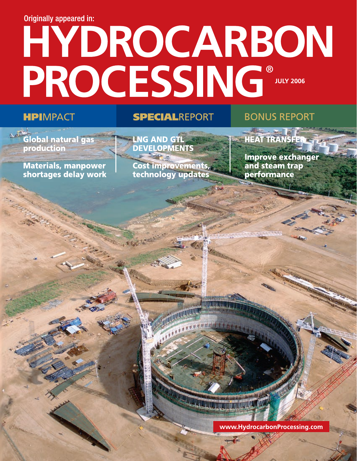## **Originally appeared in:**

# HYDROCARBON PROCESSING®

## **HPIMPACT**

## **SPECIALREPORT**

## **BONUS REPORT**

Global natural gas production

**Materials, manpower** shortages delay work LNG AND GTL **DEVELOPMENTS** 

**Cost improvements,** technology updates

**HEAT TRANSFER** 

**Improve exchanger** and steam trap performance

JE JATERIA ARTE ATA BATAN CENTRAL

www.HydrocarbonProcessing.com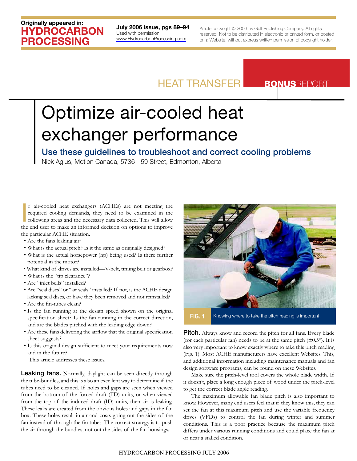## Originally appeared in: HYDROCARBON PROCESSING

July 2006 issue, pgs 89–94 Used with permission. <www.HydrocarbonProcessing.com>

Article copyright © 2006 by Gulf Publishing Company. All rights reserved. Not to be distributed in electronic or printed form, or posted on a Website, without express written permission of copyright holder.

## HEAT TRANSFER BONUSREPORT

# Optimize air-cooled heat exchanger performance

## Use these guidelines to troubleshoot and correct cooling problems

Nick Agius, Motion Canada, 5736 - 59 Street, Edmonton, Alberta

If air-cooled heat exchangers (ACHEs) are not meeting the required cooling demands, they need to be examined in the following areas and the necessary data collected. This will allow the end user to make an informed decisio f air-cooled heat exchangers (ACHEs) are not meeting the required cooling demands, they need to be examined in the following areas and the necessary data collected. This will allow the particular ACHE situation.

- Are the fans leaking air?
- What is the actual pitch? Is it the same as originally designed?
- What is the actual horsepower (hp) being used? Is there further potential in the motor?
- What kind of drives are installed—V-belt, timing belt or gearbox?
- What is the "tip clearance"?
- Are "inlet bells" installed?
- Are "seal discs" or "air seals" installed? If not, is the ACHE design lacking seal discs, or have they been removed and not reinstalled?
- Are the fin-tubes clean?
- Is the fan running at the design speed shown on the original specification sheet? Is the fan running in the correct direction, and are the blades pitched with the leading edge down?
- Are these fans delivering the airflow that the original specification sheet suggests?
- Is this original design sufficient to meet your requirements now and in the future?
	- This article addresses these issues.

Leaking fans. Normally, daylight can be seen directly through the tube-bundles, and this is also an excellent way to determine if the tubes need to be cleaned. If holes and gaps are seen when viewed from the bottom of the forced draft (FD) units, or when viewed from the top of the induced draft (ID) units, then air is leaking. These leaks are created from the obvious holes and gaps in the fan box. These holes result in air and costs going out the sides of the fan instead of through the fin tubes. The correct strategy is to push the air through the bundles, not out the sides of the fan housings.



**FIG. 1** Knowing where to take the pitch reading is important.

Pitch. Always know and record the pitch for all fans. Every blade (for each particular fan) needs to be at the same pitch  $(\pm 0.5^{\circ})$ . It is also very important to know exactly where to take this pitch reading (Fig. 1). Most ACHE manufacturers have excellent Websites. This, and additional information including maintenance manuals and fan design software programs, can be found on these Websites.

Make sure the pitch-level tool covers the whole blade width. If it doesn't, place a long enough piece of wood under the pitch-level to get the correct blade angle reading.

The maximum allowable fan blade pitch is also important to know. However, many end users feel that if they know this, they can set the fan at this maximum pitch and use the variable frequency drives (VFDs) to control the fan during winter and summer conditions. This is a poor practice because the maximum pitch differs under various running conditions and could place the fan at or near a stalled condition.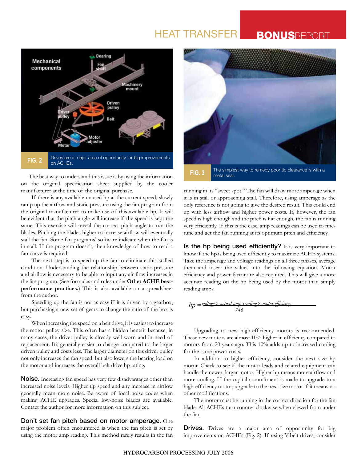## HEAT TRANSFER

## **BONUSREPOR**



The best way to understand this issue is by using the information on the original specification sheet supplied by the cooler manufacturer at the time of the original purchase.

If there is any available unused hp at the current speed, slowly ramp up the airflow and static pressure using the fan program from the original manufacturer to make use of this available hp. It will be evident that the pitch angle will increase if the speed is kept the same. This exercise will reveal the correct pitch angle to run the blades. Pitching the blades higher to increase airflow will eventually stall the fan. Some fan programs' software indicate when the fan is in stall. If the program doesn't, then knowledge of how to read a fan curve is required.

The next step is to speed up the fan to eliminate this stalled condition. Understanding the relationship between static pressure and airflow is necessary to be able to input any air-flow increases in the fan program. (See formulas and rules under **Other ACHE bestperformance practices.**) This is also available on a spreadsheet from the author.

Speeding up the fan is not as easy if it is driven by a gearbox, but purchasing a new set of gears to change the ratio of the box is easy.

When increasing the speed on a belt drive, it is easiest to increase the motor pulley size. This often has a hidden benefit because, in many cases, the driver pulley is already well worn and in need of replacement. It's generally easier to change compared to the larger driven pulley and costs less. The larger diameter on this driver pulley not only increases the fan speed, but also lowers the bearing load on the motor and increases the overall belt drive hp rating.

Noise. Increasing fan speed has very few disadvantages other than increased noise levels. Higher tip speed and any increase in airflow generally mean more noise. Be aware of local noise codes when making ACHE upgrades. Special low-noise blades are available. Contact the author for more information on this subject.

Don't set fan pitch based on motor amperage**.** One major problem often encountered is when the fan pitch is set by using the motor amp reading. This method rarely results in the fan



running in its "sweet spot." The fan will draw more amperage when it is in stall or approaching stall. Therefore, using amperage as the only reference is not going to give the desired result. This could end up with less airflow and higher power costs. If, however, the fan speed is high enough and the pitch is flat enough, the fan is running very efficiently. If this is the case, amp readings can be used to finetune and get the fan running at its optimum pitch and efficiency.

Is the hp being used efficiently? It is very important to know if the hp is being used efficiently to maximize ACHE systems. Take the amperage and voltage readings on all three phases, average them and insert the values into the following equation. Motor efficiency and power factor are also required. This will give a more accurate reading on the hp being used by the motor than simply reading amps.

$$
hp = \frac{voltage \times actual \, amp \, reading \times motor \, efficiency}{746}
$$

Upgrading to new high-efficiency motors is recommended. These new motors are almost 10% higher in efficiency compared to motors from 20 years ago. This 10% adds up to increased cooling for the same power costs.

In addition to higher efficiency, consider the next size hp motor. Check to see if the motor leads and related equipment can handle the newer, larger motor. Higher hp means more airflow and more cooling. If the capital commitment is made to upgrade to a high-efficiency motor, upgrade to the next size motor if it means no other modifications.

The motor must be running in the correct direction for the fan blade. All ACHEs turn counter-clockwise when viewed from under the fan.

**Drives.** Drives are a major area of opportunity for big improvements on ACHEs (Fig. 2). If using V-belt drives, consider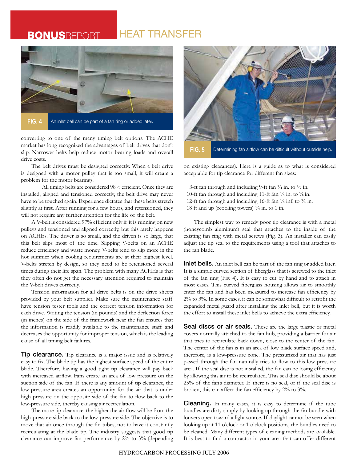## **BONUSREPORT HEAT TRANSFER**



converting to one of the many timing belt options. The ACHE market has long recognized the advantages of belt drives that don't slip. Narrower belts help reduce motor bearing loads and overall drive costs.

The belt drives must be designed correctly. When a belt drive is designed with a motor pulley that is too small, it will create a problem for the motor bearings.

All timing belts are considered 98% efficient. Once they are installed, aligned and tensioned correctly, the belt drive may never have to be touched again. Experience dictates that these belts stretch slightly at first. After running for a few hours, and retensioned, they will not require any further attention for the life of the belt.

A V-belt is considered 97% efficient only if it is running on new pulleys and tensioned and aligned correctly, but this rarely happens on ACHEs. The driver is so small, and the driven is so large, that this belt slips most of the time. Slipping V-belts on an ACHE reduce efficiency and waste money. V-belts tend to slip more in the hot summer when cooling requirements are at their highest level. V-belts stretch by design, so they need to be retensioned several times during their life span. The problem with many ACHEs is that they often do not get the necessary attention required to maintain the V-belt drives correctly.

Tension information for all drive belts is on the drive sheets provided by your belt supplier. Make sure the maintenance staff have tension tester tools and the correct tension information for each drive. Writing the tension (in pounds) and the deflection force (in inches) on the side of the framework near the fan ensures that the information is readily available to the maintenance staff and decreases the opportunity for improper tension, which is the leading cause of all timing belt failures.

Tip clearance. Tip clearance is a major issue and is relatively easy to fix. The blade tip has the highest surface speed of the entire blade. Therefore, having a good tight tip clearance will pay back with increased airflow. Fans create an area of low pressure on the suction side of the fan. If there is any amount of tip clearance, the low-pressure area creates an opportunity for the air that is under high pressure on the opposite side of the fan to flow back to the low-pressure side, thereby causing air recirculation.

The more tip clearance, the higher the air flow will be from the high-pressure side back to the low-pressure side. The objective is to move that air once through the fin tubes, not to have it constantly recirculating at the blade tip. The industry suggests that good tip clearance can improve fan performance by 2% to 3% (depending



on existing clearances). Here is a guide as to what is considered acceptable for tip clearance for different fan sizes:

 3-ft fan through and including 9-ft fan ¼ in. to ½ in. 10-ft fan through and including 11-ft fan  $\frac{1}{4}$  in. to  $\frac{5}{8}$  in. 12-ft fan through and including 16-ft fan ¼ inf. to ¾ in. 18 ft and up (reooling towers)  $\frac{1}{4}$  in. to 1 in.

The simplest way to remedy poor tip clearance is with a metal (honeycomb aluminum) seal that attaches to the inside of the existing fan ring with metal screws (Fig. 3). An installer can easily adjust the tip seal to the requirements using a tool that attaches to the fan blade.

**Inlet bells.** An inlet bell can be part of the fan ring or added later. It is a simple curved section of fiberglass that is screwed to the inlet of the fan ring (Fig. 4). It is easy to cut by hand and to attach in most cases. This curved fiberglass housing allows air to smoothly enter the fan and has been measured to increase fan efficiency by 2% to 3%. In some cases, it can be somewhat difficult to retrofit the expanded metal guard after installing the inlet bell, but it is worth the effort to install these inlet bells to achieve the extra efficiency.

Seal discs or air seals. These are the large plastic or metal covers normally attached to the fan hub, providing a barrier for air that tries to recirculate back down, close to the center of the fan. The center of the fan is in an area of low blade surface speed and, therefore, is a low-pressure zone. The pressurized air that has just passed through the fan naturally tries to flow to this low-pressure area. If the seal disc is not installed, the fan can be losing efficiency by allowing this air to be recirculated. This seal disc should be about 25% of the fan's diameter. If there is no seal, or if the seal disc is broken, this can affect the fan efficiency by 2% to 3%.

Cleaning. In many cases, it is easy to determine if the tube bundles are dirty simply by looking up through the fin bundle with louvers open toward a light source. If daylight cannot be seen when looking up at 11 o'clock or 1 o'clock positions, the bundles need to be cleaned. Many different types of cleaning methods are available. It is best to find a contractor in your area that can offer different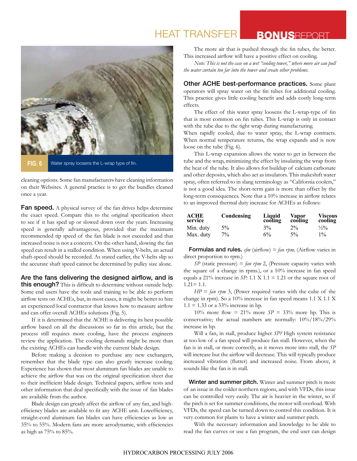## **HEAT TRANSFER BONUSREPORT**



**FIG. 6** Water spray loosens the L-wrap type of fin.

cleaning options. Some fan manufacturers have cleaning information on their Websites. A general practice is to get the bundles cleaned once a year.

Fan speed. A physical survey of the fan drives helps determine the exact speed. Compare this to the original specification sheet to see if it has sped up or slowed down over the years. Increasing speed is generally advantageous, provided that the maximum recommended tip speed of the fan blade is not exceeded and that increased noise is not a concern. On the other hand, slowing the fan speed can result in a stalled condition. When using V-belts, an actual shaft-speed should be recorded. As stated earlier, the V-belts slip so the accurate shaft speed cannot be determined by pulley size alone.

#### Are the fans delivering the designed airflow, and is

this enough? This is difficult to determine without outside help. Some end users have the tools and training to be able to perform airflow tests on ACHEs, but, in most cases, it might be better to hire an experienced local contractor that knows how to measure airflow and can offer overall ACHEs solutions (Fig. 5).

If it is determined that the ACHE is delivering its best possible airflow based on all the discussions so far in this article, but the process still requires more cooling, have the process engineers review the application. The cooling demands might be more than the existing ACHEs can handle with the current blade design.

Before making a decision to purchase any new exchangers, remember that the blade type can also greatly increase cooling. Experience has shown that most aluminum fan blades are unable to achieve the airflow that was on the original specification sheet due to their inefficient blade design. Technical papers, airflow tests and other information that deal specifically with the issue of fan blades are available from the author.

Blade design can greatly affect the airflow of any fan, and highefficiency blades are available to fit any ACHE unit. Lowefficiency, straight-cord aluminum fan blades can have efficiencies as low as 35% to 55%. Modern fans are more aerodynamic, with efficiencies as high as 75% to 85%.

The more air that is pushed through the fin tubes, the better. This increased airflow will have a positive effect on cooling.

*Note: This is not the case on a wet "cooling tower," where more air can pull the water curtain too far into the tower and create other problems.*

Other ACHE best-performance practices. Some plant operators will spray water on the fin tubes for additional cooling. This practice gives little cooling benefit and adds costly long-term effects.

The effect of this water spray loosens the L-wrap-type of fin that is most common on fin tubes. This L-wrap is only in contact with the tube due to the tight wrap during manufacturing.

When rapidly cooled, due to water spray, the L-wrap contracts. When normal temperature returns, the wrap expands and is now loose on the tube (Fig. 6).

This L-wrap expansion allows the water to get in between the tube and the wrap, minimizing the effect by insulating the wrap from the heat of the tube. It also allows for buildup of calcium carbonate and other deposits, which also act as insulators. This makeshift water spray, often referred to in slang terminology as "California coolers," is not a good idea. The short-term gain is more than offset by the long-term consequences. Note that a 10% increase in airflow relates to an improved thermal duty increase for ACHEs as follows:

| ACHE<br>service | Condensing | Liquid<br>cooling | Vapor<br>cooling | <b>Viscous</b><br>cooling |
|-----------------|------------|-------------------|------------------|---------------------------|
| Min. duty       | $5\%$      | $3\%$             | $2\%$            | $\frac{1}{2}\%$           |
| Max. duty       | $7\%$      | $6\%$             | $5\%$            | $1\%$                     |

**Formulas and rules.**  $cfm$  (airflow) =  $fan$   $rpmm$ , (Airflow varies in direct proportion to rpm.)

 $SP$  (static pressure) = *fan rpm* 2, (Pressure capacity varies with the square of a change in rpms.), or a 10% increase in fan speed equals a 21% increase in *SP:* 1.1 X 1.1 = 1.21 or the square root of  $1.21 = 1.1$ .

*HP* = *fan rpm* 3, (Power required varies with the cube of the change in rpm). So a 10% increase in fan speed means 1.1 X 1.1 X  $1.1 = 1.33$  or a 33% increase in hp.

10% more flow = 21% more  $SP = 33\%$  more hp. This is conservative; the actual numbers are normally: 10%/18%/29% increase in hp.

Will a fan, in stall, produce higher *SP?* High system resistance at too low of a fan speed will produce fan stall. However, when the fan is in stall, or more correctly, as it moves more into stall, the *SP*  will increase but the airflow will decrease. This will typically produce increased vibration (flutter) and increased noise. From above, it sounds like the fan is in stall.

Winter and summer pitch. Winter and summer pitch is more of an issue in the colder northern regions, and with VFDs, this issue can be controlled very easily. The air is heavier in the winter, so if the pitch is set for summer conditions, the motor will overload. With VFDs, the speed can be turned down to control this condition. It is very common for plants to have a winter and summer pitch.

With the necessary information and knowledge to be able to read the fan curves or use a fan program, the end user can design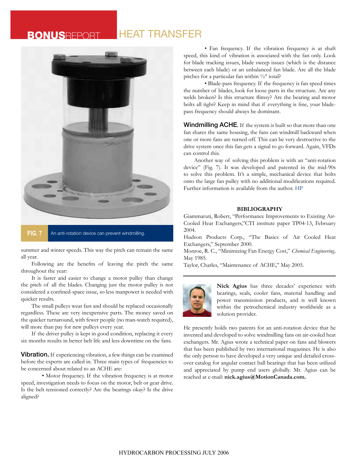## **BONUSREPORT HEAT TRANSFER**



**FIG. 7** An anti-rotation device can prevent windmilling.

summer and winter speeds. This way the pitch can remain the same all year.

Following are the benefits of leaving the pitch the same throughout the year:

It is faster and easier to change a motor pulley than change the pitch of all the blades. Changing just the motor pulley is not considered a confined-space issue, so less manpower is needed with quicker results.

The small pulleys wear fast and should be replaced occasionally regardless. These are very inexpensive parts. The money saved on the quicker turnaround, with fewer people (no man-watch required), will more than pay for new pulleys every year.

If the driver pulley is kept in good condition, replacing it every six months results in better belt life and less downtime on the fans.

**Vibration.** If experiencing vibration, a few things can be examined before the experts are called in. Three main types of frequencies to be concerned about related to an ACHE are:

• Motor frequency. If the vibration frequency is at motor speed, investigation needs to focus on the motor, belt or gear drive. Is the belt tensioned correctly? Are the bearings okay? Is the drive aligned?

• Fan frequency. If the vibration frequency is at shaft speed, this kind of vibration is associated with the fan only. Look for blade tracking issues, blade sweep issues (which is the distance between each blade) or an unbalanced fan blade. Are all the blade pitches for a particular fan within ½° total?

• Blade-pass frequency. If the frequency is fan speed times the number of blades, look for loose parts in the structure. Are any welds broken? Is this structure flimsy? Are the bearing and motor bolts all tight? Keep in mind that if everything is fine, your bladepass frequency should always be dominant.

Windmilling ACHE**.** If the system is built so that more than one fan shares the same housing, the fans can windmill backward when one or more fans are turned off. This can be very destructive to the drive system once this fan gets a signal to go forward. Again, VFDs can control this.

Another way of solving this problem is with an "anti-rotation device" (Fig. 7). It was developed and patented in the mid-90s to solve this problem. It's a simple, mechanical device that bolts onto the large fan pulley with no additional modifications required. Further information is available from the author. HP

#### **BIBLIOGRAPHY**

Giammaruti, Robert, "Performance Improvements to Existing Air-Cooled Heat Exchangers,"CTI institute paper TP04-13, February 2004.

Hudson Products Corp., "The Basics of Air Cooled Heat Exchangers," September 2000.

Monroe, R. C., "Minimizing Fan Energy Cost," *Chemical Engineering,*  May 1985.

Taylor, Charles, "Maintenance of ACHE," May 2005.



**Nick Agius** has three decades' experience with bearings, seals, cooler fans, material handling and power transmission products, and is well known within the petrochemical industry worldwide as a solution provider.

He presently holds two patents for an anti-rotation device that he invented and developed to solve windmilling fans on air-cooled heat exchangers. Mr. Agius wrote a technical paper on fans and blowers that has been published by two international magazines. He is also the only person to have developed a very unique and detailed crossover catalog for angular contact ball bearings that has been utilized and appreciated by pump end users globally. Mr. Agius can be reached at e-mail: **nick.agius@MotionCanada.com.**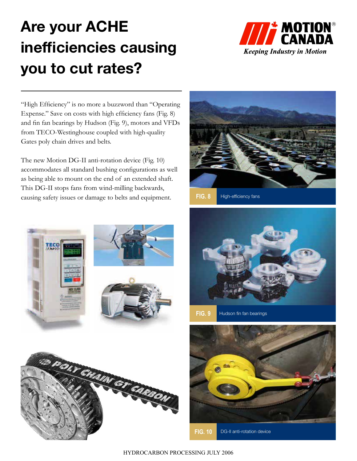## Are your ACHE inefficiencies causing you to cut rates?



"High Efficiency" is no more a buzzword than "Operating Expense." Save on costs with high efficiency fans (Fig. 8) and fin fan bearings by Hudson (Fig. 9), motors and VFDs from TECO-Westinghouse coupled with high-quality Gates poly chain drives and belts.

The new Motion DG-II anti-rotation device (Fig. 10) accommodates all standard bushing configurations as well as being able to mount on the end of an extended shaft. This DG-II stops fans from wind-milling backwards, causing safety issues or damage to belts and equipment.









**FIG. 9** Hudson fin fan bearings